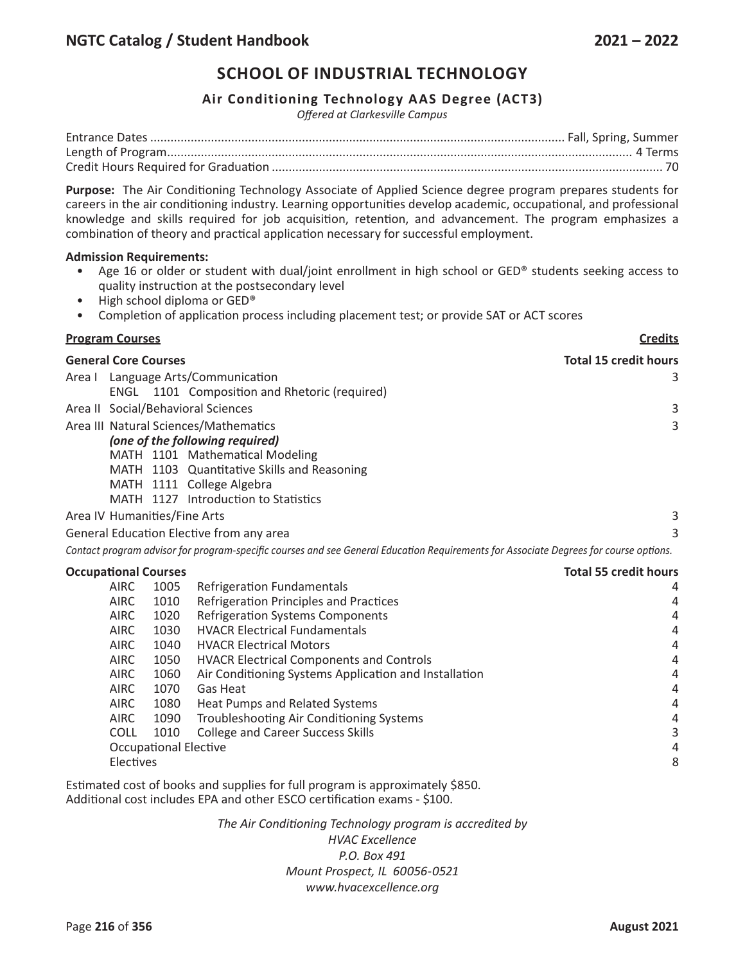## **Air Conditioning Technology AAS Degree (ACT3)**

*Offered at Clarkesville Campus*

**Purpose:** The Air Conditioning Technology Associate of Applied Science degree program prepares students for careers in the air conditioning industry. Learning opportunities develop academic, occupational, and professional knowledge and skills required for job acquisition, retention, and advancement. The program emphasizes a combination of theory and practical application necessary for successful employment.

#### **Admission Requirements:**

- Age 16 or older or student with dual/joint enrollment in high school or GED® students seeking access to quality instruction at the postsecondary level
- High school diploma or GED®
- Completion of application process including placement test; or provide SAT or ACT scores

## **Program Courses Credits General Core Courses Total 15 credit hours** Area I Language Arts/Communication 3 ENGL 1101 Composition and Rhetoric (required) Area II Social/Behavioral Sciences 3 Area III Natural Sciences/Mathematics 3 *(one of the following required)*  MATH 1101 Mathematical Modeling MATH 1103 Quantitative Skills and Reasoning MATH 1111 College Algebra MATH 1127 Introduction to Statistics Area IV Humanities/Fine Arts 3 General Education Elective from any area 3 Contact program advisor for program-specific courses and see General Education Requirements for Associate Degrees for course options. **Occupational Courses Total 55 credit hours** AIRC 1005 Refrigeration Fundamentals 4 AIRC 1010 Refrigeration Principles and Practices 4 AIRC 1020 Refrigeration Systems Components 4 AIRC 1030 HVACR Electrical Fundamentals 4 AIRC 1040 HVACR Electrical Motors 4 AIRC 1050 HVACR Electrical Components and Controls 4 AIRC 1060 Air Conditioning Systems Application and Installation 4 AIRC 1070 Gas Heat 4 AIRC 1080 Heat Pumps and Related Systems 4 AIRC 1090 Troubleshooting Air Conditioning Systems 4 COLL 1010 College and Career Success Skills 3 Occupational Elective 4 Electives 8

Estimated cost of books and supplies for full program is approximately \$850. Additional cost includes EPA and other ESCO certification exams - \$100.

> *The Air Conditioning Technology program is accredited by HVAC Excellence P.O. Box 491 Mount Prospect, IL 60056-0521 www.hvacexcellence.org*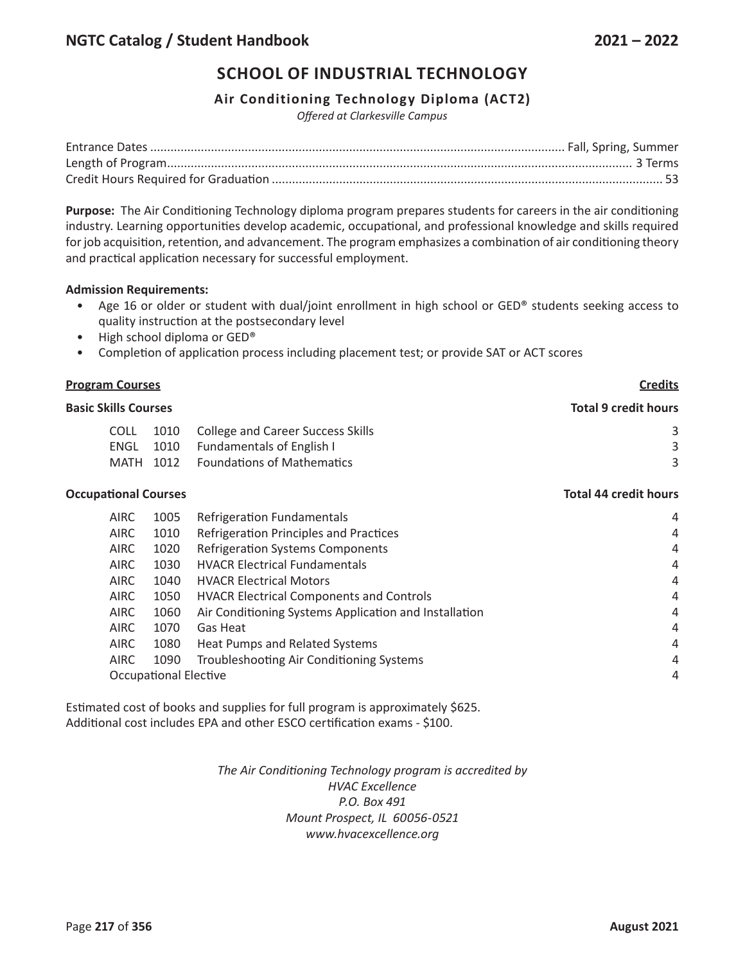## **Air Conditioning Technology Diploma (ACT2)**

*Offered at Clarkesville Campus*

**Purpose:** The Air Conditioning Technology diploma program prepares students for careers in the air conditioning industry. Learning opportunities develop academic, occupational, and professional knowledge and skills required for job acquisition, retention, and advancement. The program emphasizes a combination of air conditioning theory and practical application necessary for successful employment.

#### **Admission Requirements:**

- Age 16 or older or student with dual/joint enrollment in high school or GED® students seeking access to quality instruction at the postsecondary level
- High school diploma or GED®
- Completion of application process including placement test; or provide SAT or ACT scores

# **Program Courses Credits Basic Skills Courses Total 9 credit hours** COLL 1010 College and Career Success Skills 3 3 ENGL 1010 Fundamentals of English I 3 3 MATH 1012 Foundations of Mathematics 3 **Occupational Courses Total 44 credit hours**

| <b>AIRC</b> | 1005                  | Refrigeration Fundamentals                            | 4              |
|-------------|-----------------------|-------------------------------------------------------|----------------|
| <b>AIRC</b> | 1010                  | Refrigeration Principles and Practices                | 4              |
| <b>AIRC</b> | 1020                  | <b>Refrigeration Systems Components</b>               | 4              |
| <b>AIRC</b> | 1030                  | <b>HVACR Electrical Fundamentals</b>                  | 4              |
| <b>AIRC</b> | 1040                  | <b>HVACR Electrical Motors</b>                        | 4              |
| <b>AIRC</b> | 1050                  | <b>HVACR Electrical Components and Controls</b>       | 4              |
| <b>AIRC</b> | 1060                  | Air Conditioning Systems Application and Installation | 4              |
| <b>AIRC</b> | 1070                  | Gas Heat                                              | 4              |
| <b>AIRC</b> | 1080                  | Heat Pumps and Related Systems                        | 4              |
| <b>AIRC</b> | 1090                  | Troubleshooting Air Conditioning Systems              | 4              |
|             | Occupational Elective |                                                       | $\overline{4}$ |

Estimated cost of books and supplies for full program is approximately \$625. Additional cost includes EPA and other ESCO certification exams - \$100.

> *The Air Conditioning Technology program is accredited by HVAC Excellence P.O. Box 491 Mount Prospect, IL 60056-0521 www.hvacexcellence.org*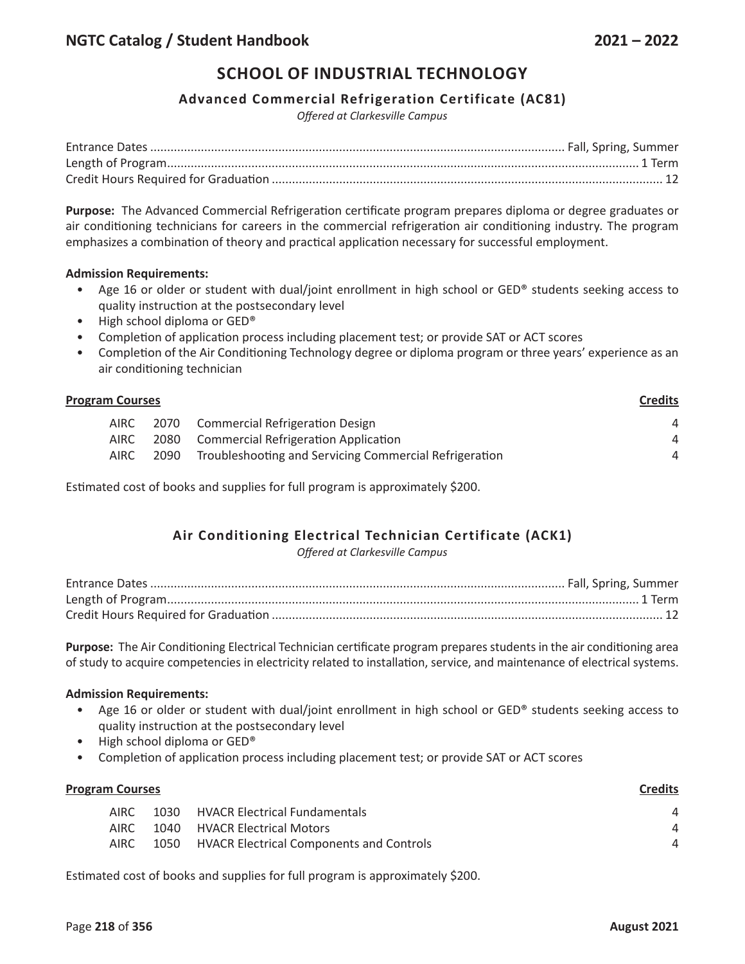## **Advanced Commercial Refrigeration Certificate (AC81)**

*Offered at Clarkesville Campus*

**Purpose:** The Advanced Commercial Refrigeration certificate program prepares diploma or degree graduates or air conditioning technicians for careers in the commercial refrigeration air conditioning industry. The program emphasizes a combination of theory and practical application necessary for successful employment.

#### **Admission Requirements:**

- Age 16 or older or student with dual/joint enrollment in high school or GED® students seeking access to quality instruction at the postsecondary level
- High school diploma or GED®
- Completion of application process including placement test; or provide SAT or ACT scores
- Completion of the Air Conditioning Technology degree or diploma program or three years' experience as an air conditioning technician

| <b>Program Courses</b> |      |                                                        |                                                                                   |  |
|------------------------|------|--------------------------------------------------------|-----------------------------------------------------------------------------------|--|
| AIRC                   |      |                                                        | 4                                                                                 |  |
| AIRC                   |      |                                                        | 4                                                                                 |  |
| <b>AIRC</b>            | 2090 | Troubleshooting and Servicing Commercial Refrigeration | Δ                                                                                 |  |
|                        |      |                                                        | 2070 Commercial Refrigeration Design<br>2080 Commercial Refrigeration Application |  |

Estimated cost of books and supplies for full program is approximately \$200.

# **Air Conditioning Electrical Technician Certificate (ACK1)**

*Offered at Clarkesville Campus*

**Purpose:** The Air Conditioning Electrical Technician certificate program prepares students in the air conditioning area of study to acquire competencies in electricity related to installation, service, and maintenance of electrical systems.

#### **Admission Requirements:**

- Age 16 or older or student with dual/joint enrollment in high school or GED® students seeking access to quality instruction at the postsecondary level
- High school diploma or GED®
- Completion of application process including placement test; or provide SAT or ACT scores

| <b>Program Courses</b> | <b>Credits</b>                                |   |
|------------------------|-----------------------------------------------|---|
| AIRC.                  | 1030 HVACR Electrical Fundamentals            | 4 |
| AIRC.                  | 1040 HVACR Electrical Motors                  | Δ |
| AIRC                   | 1050 HVACR Electrical Components and Controls | Δ |
|                        |                                               |   |

Estimated cost of books and supplies for full program is approximately \$200.